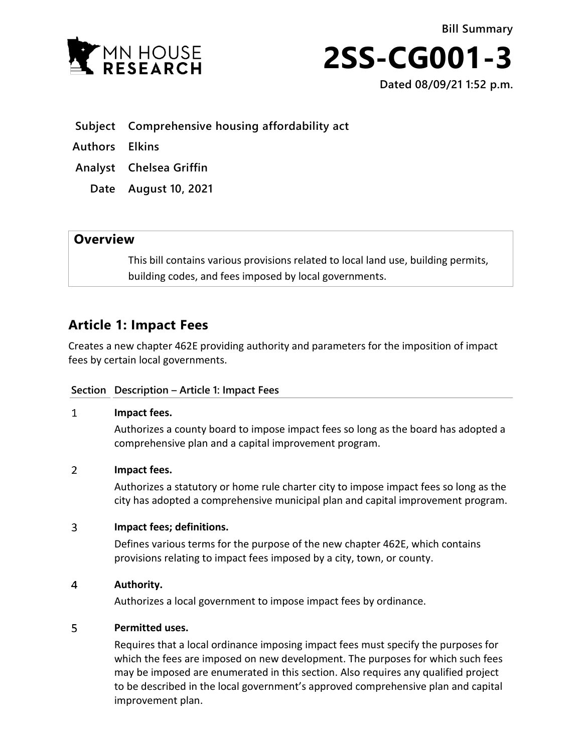



**Dated 08/09/21 1:52 p.m.** 

 **Subject Comprehensive housing affordability act** 

 **Authors Elkins** 

 **Analyst Chelsea Griffin** 

 **Date August 10, 2021** 

## **Overview**

This bill contains various provisions related to local land use, building permits, building codes, and fees imposed by local governments.

## **Article 1: Impact Fees**

Creates a new chapter 462E providing authority and parameters for the imposition of impact fees by certain local governments.

## **Section Description – Article 1: Impact Fees**

#### $\mathbf{1}$ **Impact fees.**

Authorizes a county board to impose impact fees so long as the board has adopted a comprehensive plan and a capital improvement program.

#### $\overline{2}$ **Impact fees.**

Authorizes a statutory or home rule charter city to impose impact fees so long as the city has adopted a comprehensive municipal plan and capital improvement program.

#### $\overline{3}$ **Impact fees; definitions.**

Defines various terms for the purpose of the new chapter 462E, which contains provisions relating to impact fees imposed by a city, town, or county.

#### $\overline{4}$ **Authority.**

Authorizes a local government to impose impact fees by ordinance.

#### 5 **Permitted uses.**

Requires that a local ordinance imposing impact fees must specify the purposes for which the fees are imposed on new development. The purposes for which such fees may be imposed are enumerated in this section. Also requires any qualified project to be described in the local government's approved comprehensive plan and capital improvement plan.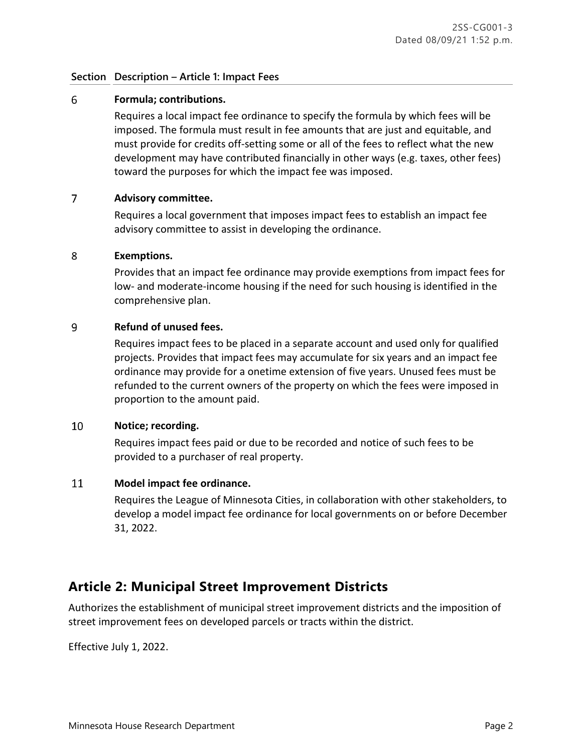## **Section Description – Article 1: Impact Fees**

#### 6 **Formula; contributions.**

Requires a local impact fee ordinance to specify the formula by which fees will be imposed. The formula must result in fee amounts that are just and equitable, and must provide for credits off-setting some or all of the fees to reflect what the new development may have contributed financially in other ways (e.g. taxes, other fees) toward the purposes for which the impact fee was imposed.

#### $\overline{7}$ **Advisory committee.**

Requires a local government that imposes impact fees to establish an impact fee advisory committee to assist in developing the ordinance.

#### 8 **Exemptions.**

Provides that an impact fee ordinance may provide exemptions from impact fees for low- and moderate-income housing if the need for such housing is identified in the comprehensive plan.

#### 9 **Refund of unused fees.**

Requires impact fees to be placed in a separate account and used only for qualified projects. Provides that impact fees may accumulate for six years and an impact fee ordinance may provide for a onetime extension of five years. Unused fees must be refunded to the current owners of the property on which the fees were imposed in proportion to the amount paid.

#### 10 **Notice; recording.**

Requires impact fees paid or due to be recorded and notice of such fees to be provided to a purchaser of real property.

#### 11 **Model impact fee ordinance.**

Requires the League of Minnesota Cities, in collaboration with other stakeholders, to develop a model impact fee ordinance for local governments on or before December 31, 2022.

## **Article 2: Municipal Street Improvement Districts**

Authorizes the establishment of municipal street improvement districts and the imposition of street improvement fees on developed parcels or tracts within the district.

Effective July 1, 2022.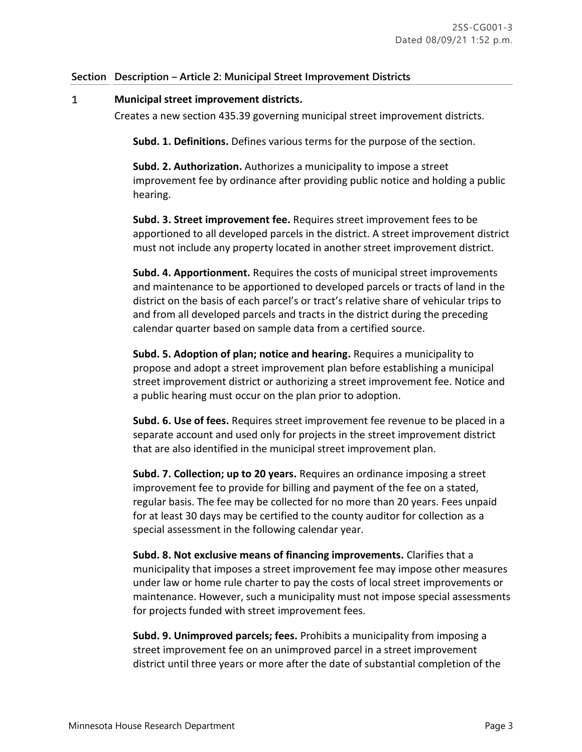## **Section Description – Article 2: Municipal Street Improvement Districts**

#### $\mathbf{1}$ **Municipal street improvement districts.**

Creates a new section 435.39 governing municipal street improvement districts.

**Subd. 1. Definitions.** Defines various terms for the purpose of the section.

**Subd. 2. Authorization.** Authorizes a municipality to impose a street improvement fee by ordinance after providing public notice and holding a public hearing.

**Subd. 3. Street improvement fee.** Requires street improvement fees to be apportioned to all developed parcels in the district. A street improvement district must not include any property located in another street improvement district.

**Subd. 4. Apportionment.** Requires the costs of municipal street improvements and maintenance to be apportioned to developed parcels or tracts of land in the district on the basis of each parcel's or tract's relative share of vehicular trips to and from all developed parcels and tracts in the district during the preceding calendar quarter based on sample data from a certified source.

**Subd. 5. Adoption of plan; notice and hearing.** Requires a municipality to propose and adopt a street improvement plan before establishing a municipal street improvement district or authorizing a street improvement fee. Notice and a public hearing must occur on the plan prior to adoption.

**Subd. 6. Use of fees.** Requires street improvement fee revenue to be placed in a separate account and used only for projects in the street improvement district that are also identified in the municipal street improvement plan.

**Subd. 7. Collection; up to 20 years.** Requires an ordinance imposing a street improvement fee to provide for billing and payment of the fee on a stated, regular basis. The fee may be collected for no more than 20 years. Fees unpaid for at least 30 days may be certified to the county auditor for collection as a special assessment in the following calendar year.

**Subd. 8. Not exclusive means of financing improvements.** Clarifies that a municipality that imposes a street improvement fee may impose other measures under law or home rule charter to pay the costs of local street improvements or maintenance. However, such a municipality must not impose special assessments for projects funded with street improvement fees.

**Subd. 9. Unimproved parcels; fees.** Prohibits a municipality from imposing a street improvement fee on an unimproved parcel in a street improvement district until three years or more after the date of substantial completion of the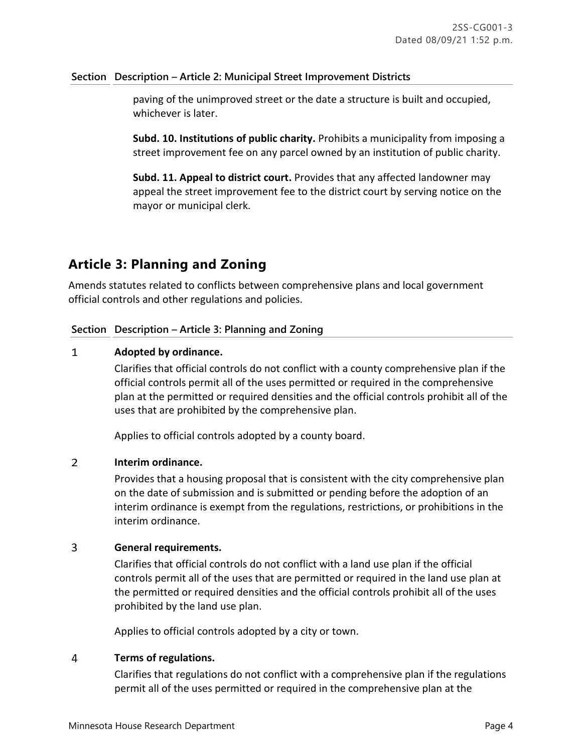## **Section Description – Article 2: Municipal Street Improvement Districts**

paving of the unimproved street or the date a structure is built and occupied, whichever is later.

**Subd. 10. Institutions of public charity.** Prohibits a municipality from imposing a street improvement fee on any parcel owned by an institution of public charity.

**Subd. 11. Appeal to district court.** Provides that any affected landowner may appeal the street improvement fee to the district court by serving notice on the mayor or municipal clerk.

# **Article 3: Planning and Zoning**

Amends statutes related to conflicts between comprehensive plans and local government official controls and other regulations and policies.

## **Section Description – Article 3: Planning and Zoning**

#### $\mathbf{1}$ **Adopted by ordinance.**

Clarifies that official controls do not conflict with a county comprehensive plan if the official controls permit all of the uses permitted or required in the comprehensive plan at the permitted or required densities and the official controls prohibit all of the uses that are prohibited by the comprehensive plan.

Applies to official controls adopted by a county board.

#### $\overline{2}$ **Interim ordinance.**

Provides that a housing proposal that is consistent with the city comprehensive plan on the date of submission and is submitted or pending before the adoption of an interim ordinance is exempt from the regulations, restrictions, or prohibitions in the interim ordinance.

#### $\overline{3}$ **General requirements.**

Clarifies that official controls do not conflict with a land use plan if the official controls permit all of the uses that are permitted or required in the land use plan at the permitted or required densities and the official controls prohibit all of the uses prohibited by the land use plan.

Applies to official controls adopted by a city or town.

#### 4 **Terms of regulations.**

Clarifies that regulations do not conflict with a comprehensive plan if the regulations permit all of the uses permitted or required in the comprehensive plan at the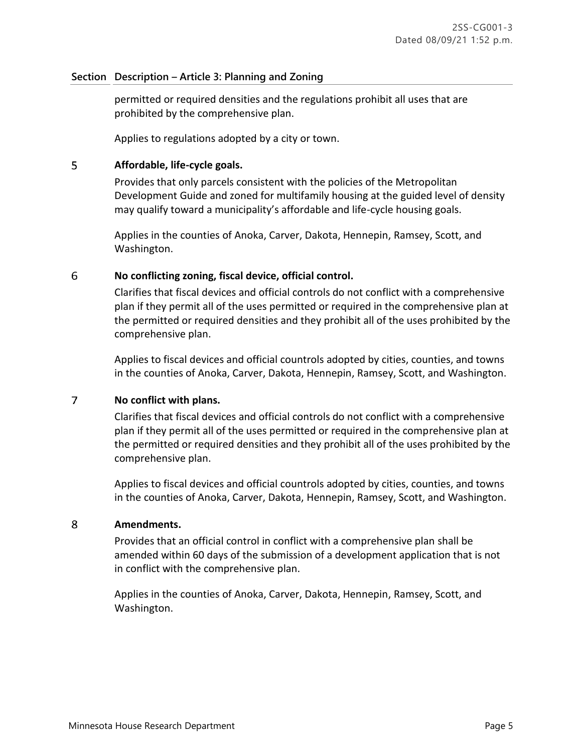### **Section Description – Article 3: Planning and Zoning**

permitted or required densities and the regulations prohibit all uses that are prohibited by the comprehensive plan.

Applies to regulations adopted by a city or town.

#### 5 **Affordable, life-cycle goals.**

Provides that only parcels consistent with the policies of the Metropolitan Development Guide and zoned for multifamily housing at the guided level of density may qualify toward a municipality's affordable and life-cycle housing goals.

Applies in the counties of Anoka, Carver, Dakota, Hennepin, Ramsey, Scott, and Washington.

#### 6 **No conflicting zoning, fiscal device, official control.**

Clarifies that fiscal devices and official controls do not conflict with a comprehensive plan if they permit all of the uses permitted or required in the comprehensive plan at the permitted or required densities and they prohibit all of the uses prohibited by the comprehensive plan.

Applies to fiscal devices and official countrols adopted by cities, counties, and towns in the counties of Anoka, Carver, Dakota, Hennepin, Ramsey, Scott, and Washington.

#### $\overline{7}$ **No conflict with plans.**

Clarifies that fiscal devices and official controls do not conflict with a comprehensive plan if they permit all of the uses permitted or required in the comprehensive plan at the permitted or required densities and they prohibit all of the uses prohibited by the comprehensive plan.

Applies to fiscal devices and official countrols adopted by cities, counties, and towns in the counties of Anoka, Carver, Dakota, Hennepin, Ramsey, Scott, and Washington.

#### 8 **Amendments.**

Provides that an official control in conflict with a comprehensive plan shall be amended within 60 days of the submission of a development application that is not in conflict with the comprehensive plan.

Applies in the counties of Anoka, Carver, Dakota, Hennepin, Ramsey, Scott, and Washington.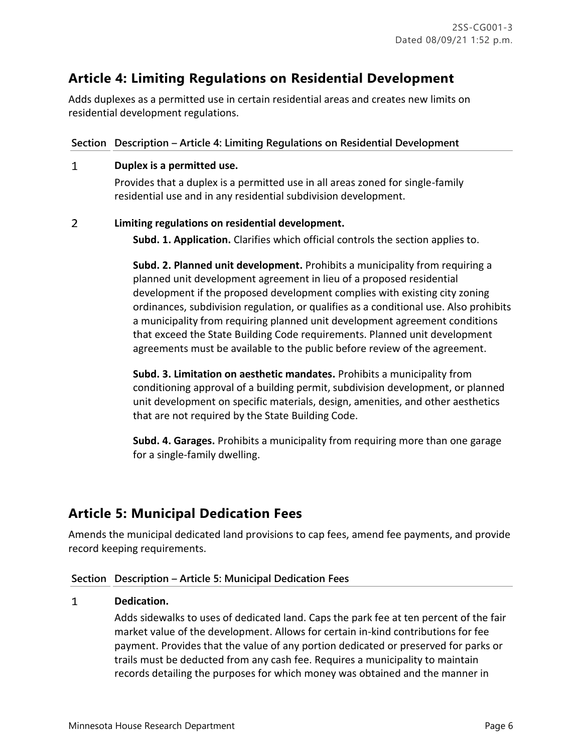# **Article 4: Limiting Regulations on Residential Development**

Adds duplexes as a permitted use in certain residential areas and creates new limits on residential development regulations.

## **Section Description – Article 4: Limiting Regulations on Residential Development**

#### $\mathbf{1}$ **Duplex is a permitted use.**

Provides that a duplex is a permitted use in all areas zoned for single-family residential use and in any residential subdivision development.

#### $\overline{2}$ **Limiting regulations on residential development.**

**Subd. 1. Application.** Clarifies which official controls the section applies to.

**Subd. 2. Planned unit development.** Prohibits a municipality from requiring a planned unit development agreement in lieu of a proposed residential development if the proposed development complies with existing city zoning ordinances, subdivision regulation, or qualifies as a conditional use. Also prohibits a municipality from requiring planned unit development agreement conditions that exceed the State Building Code requirements. Planned unit development agreements must be available to the public before review of the agreement.

**Subd. 3. Limitation on aesthetic mandates.** Prohibits a municipality from conditioning approval of a building permit, subdivision development, or planned unit development on specific materials, design, amenities, and other aesthetics that are not required by the State Building Code.

**Subd. 4. Garages.** Prohibits a municipality from requiring more than one garage for a single-family dwelling.

# **Article 5: Municipal Dedication Fees**

Amends the municipal dedicated land provisions to cap fees, amend fee payments, and provide record keeping requirements.

## **Section Description – Article 5: Municipal Dedication Fees**

#### $\mathbf{1}$ **Dedication.**

Adds sidewalks to uses of dedicated land. Caps the park fee at ten percent of the fair market value of the development. Allows for certain in-kind contributions for fee payment. Provides that the value of any portion dedicated or preserved for parks or trails must be deducted from any cash fee. Requires a municipality to maintain records detailing the purposes for which money was obtained and the manner in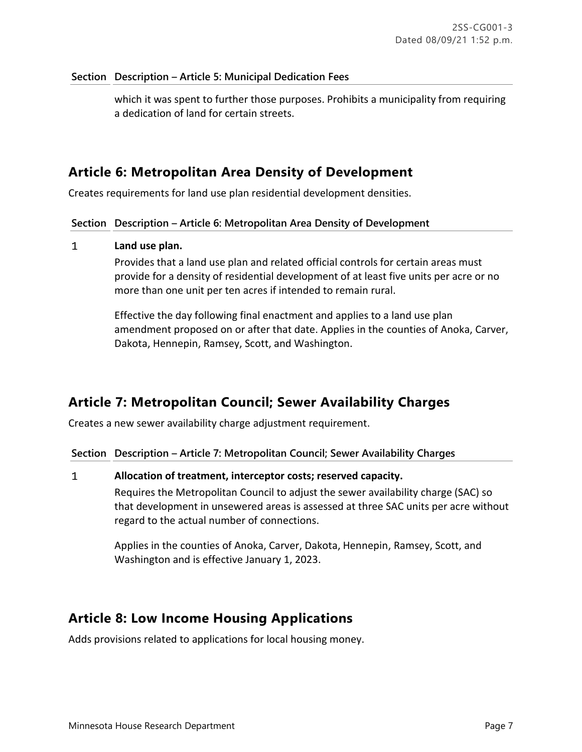### **Section Description – Article 5: Municipal Dedication Fees**

which it was spent to further those purposes. Prohibits a municipality from requiring a dedication of land for certain streets.

## **Article 6: Metropolitan Area Density of Development**

Creates requirements for land use plan residential development densities.

### **Section Description – Article 6: Metropolitan Area Density of Development**

#### $\mathbf{1}$ **Land use plan.**

Provides that a land use plan and related official controls for certain areas must provide for a density of residential development of at least five units per acre or no more than one unit per ten acres if intended to remain rural.

Effective the day following final enactment and applies to a land use plan amendment proposed on or after that date. Applies in the counties of Anoka, Carver, Dakota, Hennepin, Ramsey, Scott, and Washington.

## **Article 7: Metropolitan Council; Sewer Availability Charges**

Creates a new sewer availability charge adjustment requirement.

**Section Description – Article 7: Metropolitan Council; Sewer Availability Charges**

#### $\mathbf{1}$ **Allocation of treatment, interceptor costs; reserved capacity.**

Requires the Metropolitan Council to adjust the sewer availability charge (SAC) so that development in unsewered areas is assessed at three SAC units per acre without regard to the actual number of connections.

Applies in the counties of Anoka, Carver, Dakota, Hennepin, Ramsey, Scott, and Washington and is effective January 1, 2023.

## **Article 8: Low Income Housing Applications**

Adds provisions related to applications for local housing money.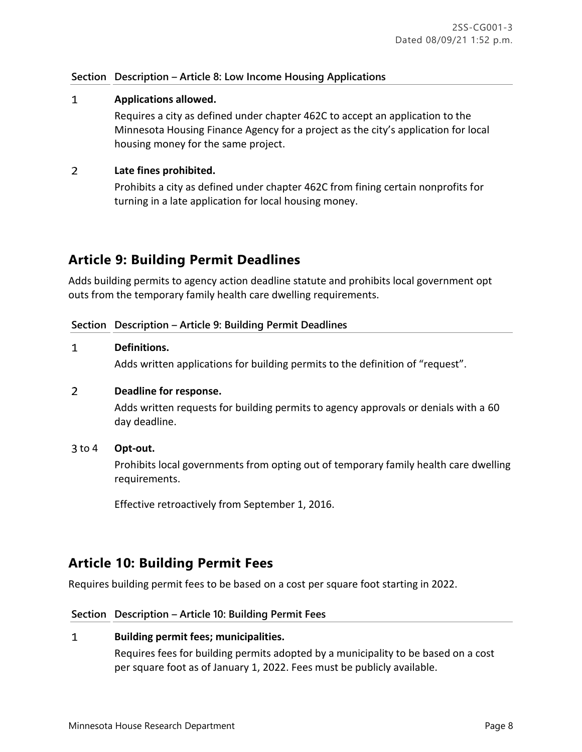## **Section Description – Article 8: Low Income Housing Applications**

#### $\mathbf{1}$ **Applications allowed.**

Requires a city as defined under chapter 462C to accept an application to the Minnesota Housing Finance Agency for a project as the city's application for local housing money for the same project.

#### $\overline{2}$ **Late fines prohibited.**

Prohibits a city as defined under chapter 462C from fining certain nonprofits for turning in a late application for local housing money.

## **Article 9: Building Permit Deadlines**

Adds building permits to agency action deadline statute and prohibits local government opt outs from the temporary family health care dwelling requirements.

### **Section Description – Article 9: Building Permit Deadlines**

#### **Definitions.**  $\mathbf{1}$

Adds written applications for building permits to the definition of "request".

#### $\overline{2}$ **Deadline for response.**

Adds written requests for building permits to agency approvals or denials with a 60 day deadline.

### 3 to 4 Opt-out.

Prohibits local governments from opting out of temporary family health care dwelling requirements.

Effective retroactively from September 1, 2016.

## **Article 10: Building Permit Fees**

Requires building permit fees to be based on a cost per square foot starting in 2022.

### **Section Description – Article 10: Building Permit Fees**

#### $\mathbf{1}$ **Building permit fees; municipalities.**

Requires fees for building permits adopted by a municipality to be based on a cost per square foot as of January 1, 2022. Fees must be publicly available.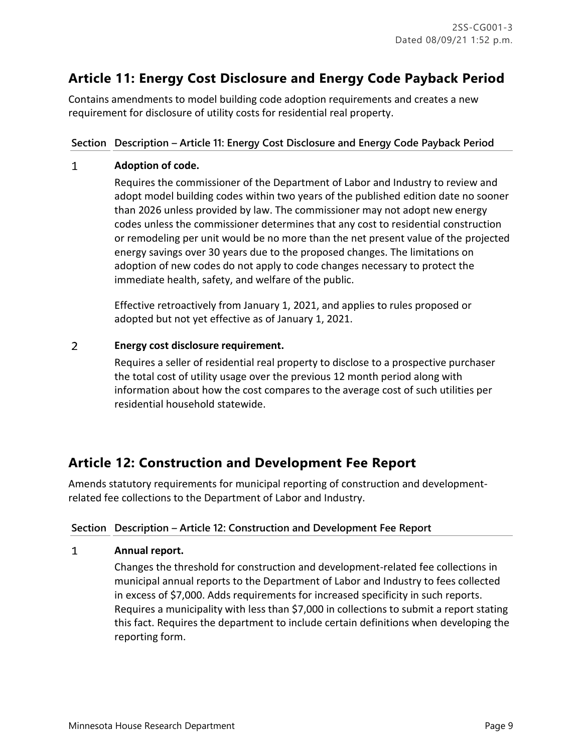# **Article 11: Energy Cost Disclosure and Energy Code Payback Period**

Contains amendments to model building code adoption requirements and creates a new requirement for disclosure of utility costs for residential real property.

## **Section Description – Article 11: Energy Cost Disclosure and Energy Code Payback Period**

#### $\mathbf{1}$ **Adoption of code.**

Requires the commissioner of the Department of Labor and Industry to review and adopt model building codes within two years of the published edition date no sooner than 2026 unless provided by law. The commissioner may not adopt new energy codes unless the commissioner determines that any cost to residential construction or remodeling per unit would be no more than the net present value of the projected energy savings over 30 years due to the proposed changes. The limitations on adoption of new codes do not apply to code changes necessary to protect the immediate health, safety, and welfare of the public.

Effective retroactively from January 1, 2021, and applies to rules proposed or adopted but not yet effective as of January 1, 2021.

#### $\overline{2}$ **Energy cost disclosure requirement.**

Requires a seller of residential real property to disclose to a prospective purchaser the total cost of utility usage over the previous 12 month period along with information about how the cost compares to the average cost of such utilities per residential household statewide.

# **Article 12: Construction and Development Fee Report**

Amends statutory requirements for municipal reporting of construction and developmentrelated fee collections to the Department of Labor and Industry.

## **Section Description – Article 12: Construction and Development Fee Report**

#### $\mathbf{1}$ **Annual report.**

Changes the threshold for construction and development-related fee collections in municipal annual reports to the Department of Labor and Industry to fees collected in excess of \$7,000. Adds requirements for increased specificity in such reports. Requires a municipality with less than \$7,000 in collections to submit a report stating this fact. Requires the department to include certain definitions when developing the reporting form.